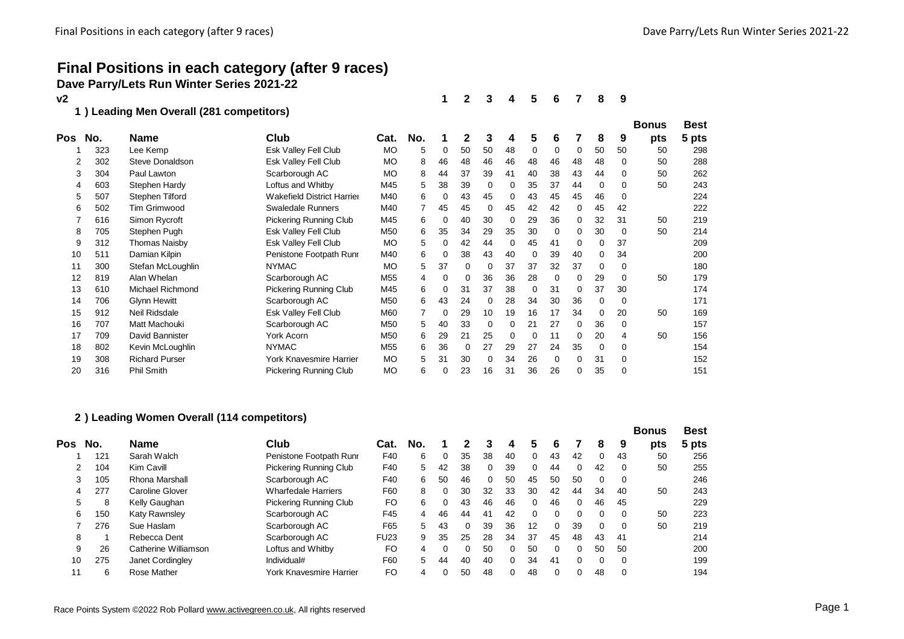# **Final Positions in each category (after 9 races) Dave Parry/Lets Run Winter Series 2021-22**

| ٧2  |     |                                         |                                   |           |     |          | 2  | 3        | 4  | 5        | 6        |          | 8  | 9  |              |             |
|-----|-----|-----------------------------------------|-----------------------------------|-----------|-----|----------|----|----------|----|----------|----------|----------|----|----|--------------|-------------|
| 1   |     | ) Leading Men Overall (281 competitors) |                                   |           |     |          |    |          |    |          |          |          |    |    | <b>Bonus</b> | <b>Best</b> |
| Pos | No. | <b>Name</b>                             | Club                              | Cat.      | No. |          | 2  | 3        | 4  | 5        | 6        |          | 8  | 9  | pts          | 5 pts       |
|     | 323 | Lee Kemp                                | <b>Esk Valley Fell Club</b>       | <b>MO</b> | 5   | 0        | 50 | 50       | 48 | 0        | 0        | 0        | 50 | 50 | 50           | 298         |
| 2   | 302 | Steve Donaldson                         | Esk Valley Fell Club              | <b>MO</b> | 8   | 46       | 48 | 46       | 46 | 48       | 46       | 48       | 48 | 0  | 50           | 288         |
| 3   | 304 | Paul Lawton                             | Scarborough AC                    | <b>MO</b> | 8   | 44       | 37 | 39       | 41 | 40       | 38       | 43       | 44 | 0  | 50           | 262         |
| 4   | 603 | Stephen Hardy                           | Loftus and Whitby                 | M45       | 5   | 38       | 39 | $\Omega$ | 0  | 35       | 37       | 44       | 0  | 0  | 50           | 243         |
| 5   | 507 | Stephen Tilford                         | <b>Wakefield District Harrier</b> | M40       | 6   | $\Omega$ | 43 | 45       | 0  | 43       | 45       | 45       | 46 | 0  |              | 224         |
| 6   | 502 | Tim Grimwood                            | <b>Swaledale Runners</b>          | M40       |     | 45       | 45 | 0        | 45 | 42       | 42       | 0        | 45 | 42 |              | 222         |
|     | 616 | Simon Rycroft                           | Pickering Running Club            | M45       | 6   | 0        | 40 | 30       | 0  | 29       | 36       | 0        | 32 | 31 | 50           | 219         |
| 8   | 705 | Stephen Pugh                            | Esk Valley Fell Club              | M50       | 6   | 35       | 34 | 29       | 35 | 30       | $\Omega$ | 0        | 30 | 0  | 50           | 214         |
| 9   | 312 | Thomas Naisby                           | Esk Valley Fell Club              | <b>MO</b> | 5   | 0        | 42 | 44       | 0  | 45       | 41       | 0        | 0  | 37 |              | 209         |
| 10  | 511 | Damian Kilpin                           | Penistone Footpath Runr           | M40       | 6   | 0        | 38 | 43       | 40 | 0        | 39       | 40       | 0  | 34 |              | 200         |
| 11  | 300 | Stefan McLoughlin                       | <b>NYMAC</b>                      | <b>MO</b> | 5   | 37       | 0  | 0        | 37 | 37       | 32       | 37       | 0  | 0  |              | 180         |
| 12  | 819 | Alan Whelan                             | Scarborough AC                    | M55       | 4   | 0        | 0  | 36       | 36 | 28       | 0        | 0        | 29 | 0  | 50           | 179         |
| 13  | 610 | <b>Michael Richmond</b>                 | <b>Pickering Running Club</b>     | M45       | 6   | 0        | 31 | 37       | 38 | $\Omega$ | 31       | $\Omega$ | 37 | 30 |              | 174         |
| 14  | 706 | Glynn Hewitt                            | Scarborough AC                    | M50       | 6   | 43       | 24 | $\Omega$ | 28 | 34       | 30       | 36       | 0  | 0  |              | 171         |
| 15  | 912 | Neil Ridsdale                           | Esk Valley Fell Club              | M60       |     | 0        | 29 | 10       | 19 | 16       | 17       | 34       | 0  | 20 | 50           | 169         |
| 16  | 707 | Matt Machouki                           | Scarborough AC                    | M50       | 5   | 40       | 33 | 0        | 0  | 21       | 27       | 0        | 36 | 0  |              | 157         |
| 17  | 709 | David Bannister                         | York Acorn                        | M50       | 6   | 29       | 21 | 25       | 0  | $\Omega$ | 11       | 0        | 20 | 4  | 50           | 156         |
| 18  | 802 | Kevin McLoughlin                        | <b>NYMAC</b>                      | M55       | 6   | 36       | 0  | 27       | 29 | 27       | 24       | 35       | 0  | 0  |              | 154         |
| 19  | 308 | <b>Richard Purser</b>                   | York Knavesmire Harrier           | <b>MO</b> | 5   | 31       | 30 | $\Omega$ | 34 | 26       | $\Omega$ |          | 31 | 0  |              | 152         |
| 20  | 316 | Phil Smith                              | Pickering Running Club            | <b>MO</b> | 6   | 0        | 23 | 16       | 31 | 36       | 26       |          | 35 | 0  |              | 151         |

#### **) Leading Women Overall (114 competitors)**

|     |     |                        |                               |                |     |    |    |          |          |    |          |    |          |          | <b>Bonus</b> | <b>Best</b> |
|-----|-----|------------------------|-------------------------------|----------------|-----|----|----|----------|----------|----|----------|----|----------|----------|--------------|-------------|
| Pos | No. | <b>Name</b>            | Club                          | Cat.           | No. |    |    |          | 4        | 5  | 6        |    | 8        | 9        | pts          | 5 pts       |
|     | 121 | Sarah Walch            | Penistone Footpath Runr       | F40            | 6   |    | 35 | 38       | 40       |    | 43       | 42 | 0        | 43       | 50           | 256         |
| 2   | 104 | Kim Cavill             | <b>Pickering Running Club</b> | F40            | 5.  | 42 | 38 | $\Omega$ | 39       |    | 44       | 0  | 42       | 0        | 50           | 255         |
| 3   | 105 | Rhona Marshall         | Scarborough AC                | F40            | 6   | 50 | 46 | 0        | 50       | 45 | 50       | 50 | 0        | 0        |              | 246         |
| 4   | 277 | <b>Caroline Glover</b> | <b>Wharfedale Harriers</b>    | F60            | 8   |    | 30 | 32       | 33       | 30 | 42       | 44 | 34       | 40       | 50           | 243         |
| 5   | 8   | Kelly Gaughan          | <b>Pickering Running Club</b> | F <sub>O</sub> | 6   |    | 43 | 46       | 46       | 0  | 46       | 0  | 46       | 45       |              | 229         |
| 6   | 150 | Katy Rawnsley          | Scarborough AC                | F45            | 4   | 46 | 44 | 41       | 42       | 0  | $\Omega$ | 0  |          | $\Omega$ | 50           | 223         |
|     | 276 | Sue Haslam             | Scarborough AC                | F65            | 5   | 43 | 0  | 39       | 36       | 12 | 0        | 39 | $\Omega$ | $\Omega$ | 50           | 219         |
| 8   |     | Rebecca Dent           | Scarborough AC                | <b>FU23</b>    | 9   | 35 | 25 | 28       | 34       | 37 | 45       | 48 | 43       | 41       |              | 214         |
| 9   | 26  | Catherine Williamson   | Loftus and Whitby             | FO             | 4   |    | 0  | 50       | $\Omega$ | 50 | $\Omega$ | 0  | 50       | 50       |              | 200         |
| 10  | 275 | Janet Cordingley       | Individual#                   | F60            | 5   | 44 | 40 | 40       | $\Omega$ | 34 | 41       | 0  | $\Omega$ | $\Omega$ |              | 199         |
| 11  | 6   | Rose Mather            | York Knavesmire Harrier       | FO             | 4   |    | 50 | 48       | $\Omega$ | 48 | $\Omega$ | 0  | 48       | $\Omega$ |              | 194         |
|     |     |                        |                               |                |     |    |    |          |          |    |          |    |          |          |              |             |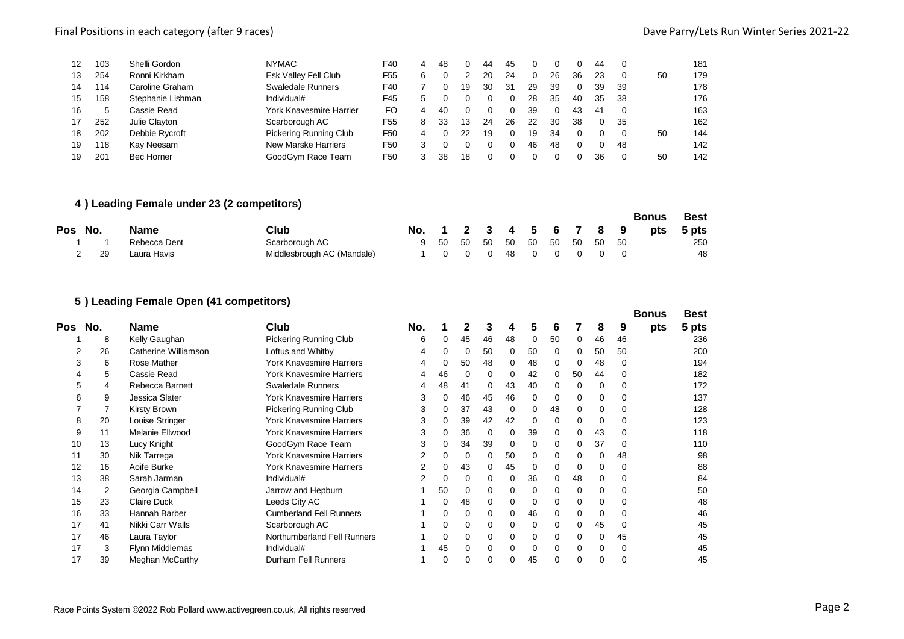| 12 | 103 | Shelli Gordon     | <b>NYMAC</b>                   | F40             | 4 | 48 |    | 44 | 45  |    |          |    | 44 |    |    | 181 |
|----|-----|-------------------|--------------------------------|-----------------|---|----|----|----|-----|----|----------|----|----|----|----|-----|
| 13 | 254 | Ronni Kirkham     | Esk Valley Fell Club           | F <sub>55</sub> | 6 |    |    | 20 | 24  |    | 26       | 36 | 23 |    | 50 | 179 |
| 14 | 114 | Caroline Graham   | <b>Swaledale Runners</b>       | F40             |   |    | 19 | 30 | -31 | 29 | 39       |    | 39 | 39 |    | 178 |
| 15 | 158 | Stephanie Lishman | Individual#                    | F45             |   |    |    |    | 0   | 28 | 35       | 40 | 35 | 38 |    | 176 |
| 16 | 5   | Cassie Read       | <b>York Knavesmire Harrier</b> | FO              | 4 | 40 |    |    | 0   | 39 | $\Omega$ | 43 | 41 |    |    | 163 |
| 17 | 252 | Julie Clavton     | Scarborough AC                 | F55             | 8 | 33 | 13 | 24 | 26  | 22 | 30       | 38 |    | 35 |    | 162 |
| 18 | 202 | Debbie Rycroft    | Pickering Running Club         | F <sub>50</sub> | 4 |    | 22 | 19 | 0   | 19 | 34       |    |    |    | 50 | 144 |
| 19 | 118 | Kav Neesam        | New Marske Harriers            | F <sub>50</sub> |   |    |    |    | 0   | 46 | 48       |    |    | 48 |    | 142 |
| 19 | 201 | Bec Horner        | GoodGvm Race Team              | F50             |   | 38 | 18 |    |     |    |          |    | 36 |    | 50 | 142 |

#### **) Leading Female under 23 (2 competitors)**

|         |     |              |                            |                              |  |  |  |  | <b>Bonus</b>                    | <b>Best</b> |
|---------|-----|--------------|----------------------------|------------------------------|--|--|--|--|---------------------------------|-------------|
| Pos No. |     | <b>Name</b>  | Club                       |                              |  |  |  |  | No. 1 2 3 4 5 6 7 8 9 pts 5 pts |             |
|         |     | Rebecca Dent | Scarborough AC             | 9 50 50 50 50 50 50 50 50 50 |  |  |  |  |                                 | 250         |
|         | -29 | Laura Havis  | Middlesbrough AC (Mandale) | 1 0 0 0 48 0 0 0 0 0         |  |  |  |  |                                 | 48          |

## **) Leading Female Open (41 competitors)**

|     |     |                        |                                 |     |    |          |          |          |    |          |          |    |          | <b>Bonus</b> | <b>Best</b> |
|-----|-----|------------------------|---------------------------------|-----|----|----------|----------|----------|----|----------|----------|----|----------|--------------|-------------|
| Pos | No. | <b>Name</b>            | Club                            | No. |    |          | 3        |          | 5  | 6        |          | 8  | 9        | pts          | 5 pts       |
|     | 8   | Kelly Gaughan          | <b>Pickering Running Club</b>   | 6   | 0  | 45       | 46       | 48       | 0  | 50       | 0        | 46 | 46       |              | 236         |
|     | 26  | Catherine Williamson   | Loftus and Whitby               | 4   | 0  | $\Omega$ | 50       | 0        | 50 | 0        | 0        | 50 | 50       |              | 200         |
|     | 6   | Rose Mather            | <b>York Knavesmire Harriers</b> | 4   | 0  | 50       | 48       | 0        | 48 | $\Omega$ | 0        | 48 | $\Omega$ |              | 194         |
|     | 5   | Cassie Read            | <b>York Knavesmire Harriers</b> |     | 46 | 0        | 0        | 0        | 42 | 0        | 50       | 44 | 0        |              | 182         |
|     | 4   | Rebecca Barnett        | <b>Swaledale Runners</b>        | 4   | 48 | 41       | 0        | 43       | 40 | 0        | 0        | 0  | $\Omega$ |              | 172         |
| 6   | 9   | Jessica Slater         | <b>York Knavesmire Harriers</b> | 3   | 0  | 46       | 45       | 46       | 0  | 0        | 0        | 0  | $\Omega$ |              | 137         |
|     |     | Kirsty Brown           | <b>Pickering Running Club</b>   | 3   |    | 37       | 43       | 0        | 0  | 48       | 0        | 0  | $\Omega$ |              | 128         |
| 8   | 20  | Louise Stringer        | <b>York Knavesmire Harriers</b> | 3   | 0  | 39       | 42       | 42       | 0  | 0        | 0        | 0  | $\Omega$ |              | 123         |
| 9   | 11  | Melanie Ellwood        | <b>York Knavesmire Harriers</b> | 3   | 0  | 36       | 0        | 0        | 39 | 0        | $\Omega$ | 43 | $\Omega$ |              | 118         |
| 10  | 13  | Lucy Knight            | GoodGym Race Team               | 3   | 0  | 34       | 39       | 0        | 0  | 0        | 0        | 37 | $\Omega$ |              | 110         |
| 11  | 30  | Nik Tarrega            | <b>York Knavesmire Harriers</b> | 2   | 0  | 0        | 0        | 50       | 0  | 0        | 0        | 0  | 48       |              | 98          |
| 12  | 16  | Aoife Burke            | <b>York Knavesmire Harriers</b> |     | 0  | 43       | 0        | 45       | 0  | 0        | $\Omega$ | 0  | $\Omega$ |              | 88          |
| 13  | 38  | Sarah Jarman           | Individual#                     |     | 0  | 0        | 0        | 0        | 36 | 0        | 48       | 0  | $\Omega$ |              | 84          |
| 14  | 2   | Georgia Campbell       | Jarrow and Hepburn              |     | 50 | 0        | 0        | 0        | 0  | 0        | 0        | 0  | $\Omega$ |              | 50          |
| 15  | 23  | <b>Claire Duck</b>     | Leeds City AC                   |     | 0  | 48       | $\Omega$ | 0        | 0  | 0        | 0        | 0  | $\Omega$ |              | 48          |
| 16  | 33  | Hannah Barber          | <b>Cumberland Fell Runners</b>  |     | 0  | 0        | 0        | 0        | 46 | 0        | 0        | 0  | $\Omega$ |              | 46          |
| 17  | 41  | Nikki Carr Walls       | Scarborough AC                  |     | 0  | 0        | 0        | 0        | 0  | 0        | 0        | 45 | $\Omega$ |              | 45          |
| 17  | 46  | Laura Taylor           | Northumberland Fell Runners     |     | 0  | 0        | 0        | 0        | 0  | 0        | 0        | 0  | 45       |              | 45          |
| 17  | 3   | Flynn Middlemas        | Individual#                     |     | 45 | 0        | 0        | $\Omega$ | 0  | 0        | 0        | 0  | $\Omega$ |              | 45          |
| 17  | 39  | <b>Meghan McCarthy</b> | Durham Fell Runners             |     | 0  |          |          |          | 45 |          | 0        | 0  |          |              | 45          |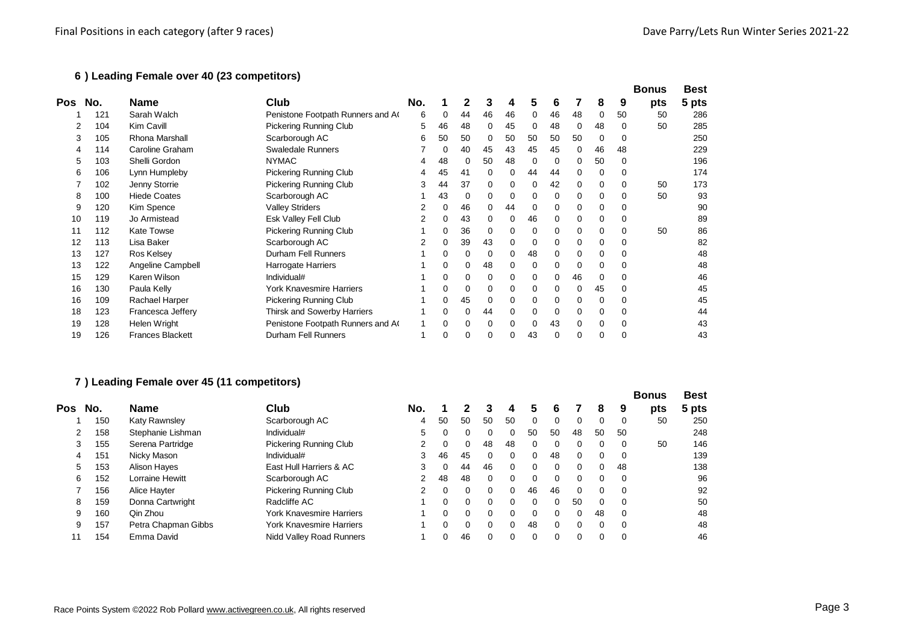#### **) Leading Female over 40 (23 competitors)**

|     |     |                         |                                  |     |    |    |    |    |          |          |             |             |          | <b>Bonus</b> | <b>Best</b> |
|-----|-----|-------------------------|----------------------------------|-----|----|----|----|----|----------|----------|-------------|-------------|----------|--------------|-------------|
| Pos | No. | <b>Name</b>             | Club                             | No. |    |    |    |    | 5        | 6        |             | 8           | 9        | pts          | 5 pts       |
|     | 121 | Sarah Walch             | Penistone Footpath Runners and A | 6   | 0  | 44 | 46 | 46 | 0        | 46       | 48          | 0           | 50       | 50           | 286         |
|     | 104 | Kim Cavill              | <b>Pickering Running Club</b>    | 5   | 46 | 48 | 0  | 45 | 0        | 48       | 0           | 48          | 0        | 50           | 285         |
| 3   | 105 | <b>Rhona Marshall</b>   | Scarborough AC                   | 6   | 50 | 50 | 0  | 50 | 50       | 50       | 50          | 0           | $\Omega$ |              | 250         |
|     | 114 | Caroline Graham         | <b>Swaledale Runners</b>         |     |    | 40 | 45 | 43 | 45       | 45       | 0           | 46          | 48       |              | 229         |
| 5   | 103 | Shelli Gordon           | <b>NYMAC</b>                     |     | 48 |    | 50 | 48 | 0        | 0        | $\Omega$    | 50          | $\Omega$ |              | 196         |
| 6   | 106 | Lynn Humpleby           | <b>Pickering Running Club</b>    | 4   | 45 | 41 | 0  | 0  | 44       | 44       | 0           | 0           | $\Omega$ |              | 174         |
|     | 102 | Jenny Storrie           | <b>Pickering Running Club</b>    |     | 44 | 37 | 0  | 0  | 0        | 42       | 0           | 0           | 0        | 50           | 173         |
| 8   | 100 | <b>Hiede Coates</b>     | Scarborough AC                   |     | 43 | 0  | 0  | 0  | 0        | 0        | 0           | 0           | $\Omega$ | 50           | 93          |
| 9   | 120 | Kim Spence              | <b>Valley Striders</b>           |     | 0  | 46 | 0  | 44 | 0        | 0        | $\Omega$    | 0           | $\Omega$ |              | 90          |
| 10  | 119 | Jo Armistead            | Esk Valley Fell Club             |     |    | 43 | 0  | 0  | 46       | 0        | 0           | 0           | 0        |              | 89          |
| 11  | 112 | <b>Kate Towse</b>       | <b>Pickering Running Club</b>    |     | 0  | 36 | 0  | 0  | 0        | $\Omega$ | 0           | 0           | $\Omega$ | 50           | 86          |
| 12  | 113 | Lisa Baker              | Scarborough AC                   |     |    | 39 | 43 | 0  | 0        | 0        | 0           | 0           | $\Omega$ |              | 82          |
| 13  | 127 | Ros Kelsey              | Durham Fell Runners              |     | 0  |    | 0  | 0  | 48       | 0        | $\mathbf 0$ | 0           | $\Omega$ |              | 48          |
| 13  | 122 | Angeline Campbell       | Harrogate Harriers               |     | 0  | 0  | 48 | 0  | 0        | 0        | 0           | 0           | 0        |              | 48          |
| 15  | 129 | Karen Wilson            | Individual#                      |     |    |    | 0  | 0  | 0        | 0        | 46          | $\mathbf 0$ | 0        |              | 46          |
| 16  | 130 | Paula Kelly             | York Knavesmire Harriers         |     | 0  |    | 0  | 0  | 0        | 0        | 0           | 45          | 0        |              | 45          |
| 16  | 109 | Rachael Harper          | Pickering Running Club           |     | 0  | 45 | 0  | 0  | 0        | 0        | 0           | 0           | 0        |              | 45          |
| 18  | 123 | Francesca Jeffery       | Thirsk and Sowerby Harriers      |     |    |    | 44 | 0  | 0        | 0        | 0           | $\mathbf 0$ | $\Omega$ |              | 44          |
| 19  | 128 | <b>Helen Wright</b>     | Penistone Footpath Runners and A |     | 0  | 0  | 0  | 0  | $\Omega$ | 43       | 0           | 0           | 0        |              | 43          |
| 19  | 126 | <b>Frances Blackett</b> | Durham Fell Runners              |     |    |    |    |    | 43       |          | 0           | 0           |          |              | 43          |

## **) Leading Female over 45 (11 competitors)**

|     |     |                     |                               |               |          |    |          |          |          |              |          |          |          | <b>Bonus</b> | <b>Best</b> |
|-----|-----|---------------------|-------------------------------|---------------|----------|----|----------|----------|----------|--------------|----------|----------|----------|--------------|-------------|
| Pos | No. | <b>Name</b>         | Club                          | No.           |          |    |          | 4        | 5        | 6            |          | 8        |          | pts          | 5 pts       |
|     | 150 | Katy Rawnsley       | Scarborough AC                | 4             | 50       | 50 | 50       | 50       | $\Omega$ |              |          | 0        | 0        | 50           | 250         |
|     | 158 | Stephanie Lishman   | Individual#                   | 5             |          | 0  | 0        | 0        | 50       | 50           | 48       | 50       | 50       |              | 248         |
| 3   | 155 | Serena Partridge    | <b>Pickering Running Club</b> | 2             | $\Omega$ | 0  | 48       | 48       | $\Omega$ | $\Omega$     |          | 0        | 0        | 50           | 146         |
| 4   | 151 | Nicky Mason         | Individual#                   | 3             | 46       | 45 | $\Omega$ | 0        | $\Omega$ | 48           | $\Omega$ | 0        | $\Omega$ |              | 139         |
| 5   | 153 | Alison Haves        | East Hull Harriers & AC       | 3             | 0        | 44 | 46       | $\Omega$ | $\Omega$ | $\Omega$     |          | 0        | 48       |              | 138         |
| 6   | 152 | Lorraine Hewitt     | Scarborough AC                | 2             | 48       | 48 | $\Omega$ | $\Omega$ | $\Omega$ | $\Omega$     |          | 0        | $\Omega$ |              | 96          |
|     | 156 | Alice Havter        | <b>Pickering Running Club</b> | $\mathcal{P}$ | $\Omega$ | 0  | $\Omega$ | 0        | 46       | 46           | $\Omega$ | 0        | $\Omega$ |              | 92          |
| 8   | 159 | Donna Cartwright    | Radcliffe AC                  |               | $\Omega$ | 0  | $\Omega$ | 0        | $\Omega$ | $\Omega$     | 50       | $\Omega$ | $\Omega$ |              | 50          |
| 9   | 160 | Qin Zhou            | York Knavesmire Harriers      |               | 0        | 0  | 0        | 0        | $\Omega$ | <sup>0</sup> |          | 48       | 0        |              | 48          |
| 9   | 157 | Petra Chapman Gibbs | York Knavesmire Harriers      |               | $\Omega$ | 0  | $\Omega$ | 0        | 48       | $\Omega$     |          | 0        | $\Omega$ |              | 48          |
|     | 154 | Emma David          | Nidd Valley Road Runners      |               | 0        | 46 | $\Omega$ | 0        | $\Omega$ |              |          | 0        | $\Omega$ |              | 46          |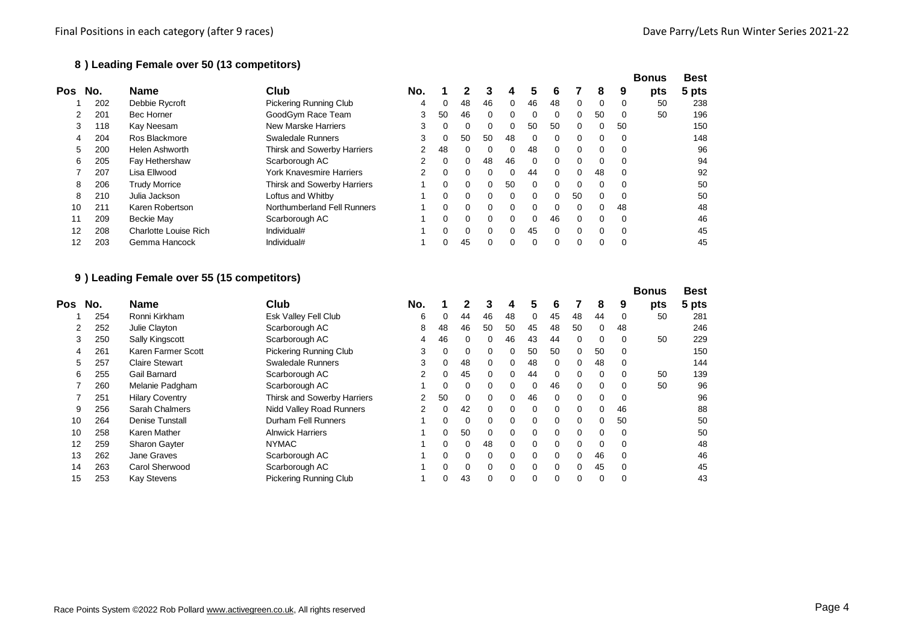## **) Leading Female over 50 (13 competitors)**

|                   |     |                              |                             |                |          |    |          |          |          |          |    |          |          | <b>Bonus</b> | <b>Best</b> |
|-------------------|-----|------------------------------|-----------------------------|----------------|----------|----|----------|----------|----------|----------|----|----------|----------|--------------|-------------|
| Pos               | No. | <b>Name</b>                  | Club                        | No.            |          |    | 3        | 4        | 5        | 6        |    | 8        | 9        | pts          | 5 pts       |
|                   | 202 | Debbie Rycroft               | Pickering Running Club      | 4              | 0        | 48 | 46       | 0        | 46       | 48       | 0  | 0        | 0        | 50           | 238         |
|                   | 201 | <b>Bec Horner</b>            | GoodGym Race Team           | 3              | 50       | 46 | $\Omega$ | $\Omega$ | 0        | $\Omega$ | 0  | 50       | 0        | 50           | 196         |
| 3                 | 118 | Kay Neesam                   | <b>New Marske Harriers</b>  | 3              | 0        | 0  | 0        | 0        | 50       | 50       | 0  | 0        | 50       |              | 150         |
| 4                 | 204 | Ros Blackmore                | <b>Swaledale Runners</b>    | 3              | 0        | 50 | 50       | 48       | $\Omega$ | $\Omega$ | 0  | $\Omega$ | $\Omega$ |              | 148         |
| 5                 | 200 | <b>Helen Ashworth</b>        | Thirsk and Sowerby Harriers | $\overline{2}$ | 48       | 0  | $\Omega$ | 0        | 48       | $\Omega$ | 0  | 0        |          |              | 96          |
| 6                 | 205 | Fay Hethershaw               | Scarborough AC              | $\overline{2}$ | $\Omega$ | 0  | 48       | 46       | $\Omega$ | $\Omega$ | 0  | $\Omega$ | 0        |              | 94          |
|                   | 207 | Lisa Ellwood                 | York Knavesmire Harriers    | $\overline{2}$ | 0        | 0  | 0        | $\Omega$ | 44       | $\Omega$ | 0  | 48       |          |              | 92          |
| 8                 | 206 | <b>Trudy Morrice</b>         | Thirsk and Sowerby Harriers |                | $\Omega$ | 0  | 0        | 50       | $\Omega$ | $\Omega$ | 0  | $\Omega$ | $\Omega$ |              | 50          |
| 8                 | 210 | Julia Jackson                | Loftus and Whitby           |                | 0        | 0  | 0        | $\Omega$ | $\Omega$ | $\Omega$ | 50 | $\Omega$ |          |              | 50          |
| 10                | 211 | Karen Robertson              | Northumberland Fell Runners |                | $\Omega$ | 0  | $\Omega$ | $\Omega$ | $\Omega$ | $\Omega$ | 0  | $\Omega$ | 48       |              | 48          |
|                   | 209 | Beckie May                   | Scarborough AC              |                | 0        | 0  | 0        | 0        | $\Omega$ | 46       | 0  | $\Omega$ | $\Omega$ |              | 46          |
| $12 \overline{ }$ | 208 | <b>Charlotte Louise Rich</b> | Individual#                 |                | 0        | 0  | $\Omega$ | $\Omega$ | 45       | $\Omega$ | 0  | $\Omega$ | $\Omega$ |              | 45          |
| 12                | 203 | Gemma Hancock                | Individual#                 |                | 0        | 45 | 0        | 0        | $\Omega$ | $\Omega$ | 0  | 0        |          |              | 45          |

#### **) Leading Female over 55 (15 competitors)**

|     |     |                        |                               |                |          |          |          |          |          |          |          |          |    | <b>Bonus</b> | <b>Best</b> |
|-----|-----|------------------------|-------------------------------|----------------|----------|----------|----------|----------|----------|----------|----------|----------|----|--------------|-------------|
| Pos | No. | <b>Name</b>            | Club                          | No.            |          |          | 3        | 4        | 5        | 6        |          | 8        | 9  | pts          | 5 pts       |
|     | 254 | Ronni Kirkham          | Esk Valley Fell Club          | 6              | 0        | 44       | 46       | 48       | 0        | 45       | 48       | 44       | 0  | 50           | 281         |
| 2   | 252 | Julie Clayton          | Scarborough AC                | 8              | 48       | 46       | 50       | 50       | 45       | 48       | 50       | 0        | 48 |              | 246         |
| 3   | 250 | Sally Kingscott        | Scarborough AC                | 4              | 46       | 0        | 0        | 46       | 43       | 44       | 0        | 0        | 0  | 50           | 229         |
| 4   | 261 | Karen Farmer Scott     | <b>Pickering Running Club</b> | 3              | 0        | 0        | 0        | 0        | 50       | 50       | 0        | 50       | 0  |              | 150         |
| 5   | 257 | <b>Claire Stewart</b>  | <b>Swaledale Runners</b>      | 3              | 0        | 48       | 0        | 0        | 48       | 0        |          | 48       | 0  |              | 144         |
| 6   | 255 | Gail Barnard           | Scarborough AC                | 2              | 0        | 45       | $\Omega$ | 0        | 44       | $\Omega$ |          | 0        | 0  | 50           | 139         |
|     | 260 | Melanie Padgham        | Scarborough AC                |                | 0        | 0        | $\Omega$ | 0        | $\Omega$ | 46       | $\Omega$ | 0        | 0  | 50           | 96          |
|     | 251 | <b>Hilary Coventry</b> | Thirsk and Sowerby Harriers   | $\overline{2}$ | 50       | 0        | $\Omega$ | 0        | 46       | $\Omega$ | $\Omega$ | $\Omega$ | 0  |              | 96          |
| 9   | 256 | Sarah Chalmers         | Nidd Valley Road Runners      | 2              | $\Omega$ | 42       | 0        | 0        | $\Omega$ | 0        |          | 0        | 46 |              | 88          |
| 10  | 264 | <b>Denise Tunstall</b> | Durham Fell Runners           |                | 0        | 0        | $\Omega$ | 0        | $\Omega$ | $\Omega$ | $\Omega$ | 0        | 50 |              | 50          |
| 10  | 258 | <b>Karen Mather</b>    | <b>Alnwick Harriers</b>       |                | 0        | 50       | 0        | 0        | 0        | $\Omega$ |          | 0        | 0  |              | 50          |
| 12  | 259 | <b>Sharon Gayter</b>   | <b>NYMAC</b>                  |                | 0        | 0        | 48       | 0        | 0        | 0        |          | 0        | 0  |              | 48          |
| 13  | 262 | Jane Graves            | Scarborough AC                |                | $\Omega$ | 0        | 0        | 0        | $\Omega$ | $\Omega$ | 0        | 46       | 0  |              | 46          |
| 14  | 263 | Carol Sherwood         | Scarborough AC                |                | $\Omega$ | $\Omega$ | 0        | $\Omega$ | $\Omega$ | $\Omega$ | $\Omega$ | 45       | 0  |              | 45          |
| 15  | 253 | <b>Kay Stevens</b>     | <b>Pickering Running Club</b> |                | 0        | 43       | 0        | 0        | 0        |          |          | 0        |    |              | 43          |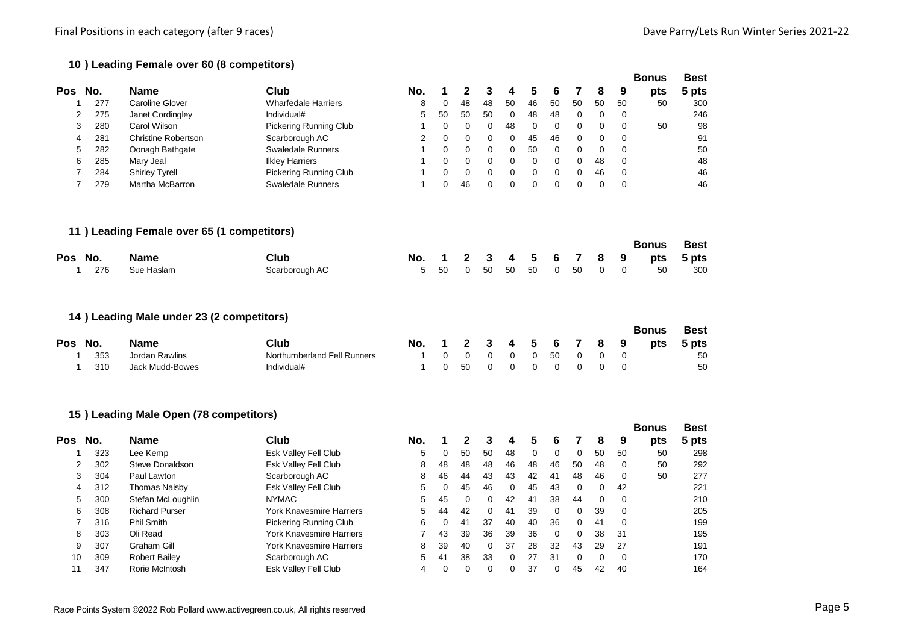**Bonus Best**

## **) Leading Female over 60 (8 competitors)**

| Pos            | No. | <b>Name</b>                                 | Club                            | No.            | 1           | 2           | 3            | 4           | 5           | 6           | 7           | 8           | 9           | pts          | 5 pts       |
|----------------|-----|---------------------------------------------|---------------------------------|----------------|-------------|-------------|--------------|-------------|-------------|-------------|-------------|-------------|-------------|--------------|-------------|
| 1              | 277 | <b>Caroline Glover</b>                      | <b>Wharfedale Harriers</b>      | 8              | 0           | 48          | 48           | 50          | 46          | 50          | 50          | 50          | 50          | 50           | 300         |
| 2              | 275 | Janet Cordingley                            | Individual#                     | 5              | 50          | 50          | 50           | $\mathbf 0$ | 48          | 48          | $\mathbf 0$ | 0           | 0           |              | 246         |
| 3              | 280 | Carol Wilson                                | <b>Pickering Running Club</b>   | 1              | 0           | 0           | $\mathbf 0$  | 48          | 0           | 0           | 0           | 0           | $\mathbf 0$ | 50           | 98          |
| 4              | 281 | <b>Christine Robertson</b>                  | Scarborough AC                  | 2              | $\mathbf 0$ | 0           | $\mathbf 0$  | 0           | 45          | 46          | $\mathbf 0$ | $\mathbf 0$ | $\mathbf 0$ |              | 91          |
| 5              | 282 | Oonagh Bathgate                             | <b>Swaledale Runners</b>        | 1              | 0           | 0           | 0            | 0           | 50          | 0           | 0           | 0           | 0           |              | 50          |
| 6              | 285 | Mary Jeal                                   | <b>Ilkley Harriers</b>          |                | $\mathbf 0$ | 0           | $\mathbf 0$  | 0           | $\mathbf 0$ | $\mathbf 0$ | 0           | 48          | $\mathbf 0$ |              | 48          |
| 7              | 284 | <b>Shirley Tyrell</b>                       | <b>Pickering Running Club</b>   | 1              | $\mathbf 0$ | 0           | $\mathbf 0$  | 0           | $\mathbf 0$ | 0           | 0           | 46          | $\mathbf 0$ |              | 46          |
| $\overline{7}$ | 279 | Martha McBarron                             | <b>Swaledale Runners</b>        | 1              | $\mathbf 0$ | 46          | $\mathbf 0$  | $\mathbf 0$ | $\mathbf 0$ | 0           | $\mathbf 0$ | $\mathbf 0$ | $\mathbf 0$ |              | 46          |
|                |     | 11 ) Leading Female over 65 (1 competitors) |                                 |                |             |             |              |             |             |             |             |             |             |              |             |
|                |     |                                             |                                 |                |             |             |              |             |             |             |             |             |             | <b>Bonus</b> | <b>Best</b> |
| Pos            | No. | <b>Name</b>                                 | Club                            | No.            | 1           | 2           | 3            | 4           | 5           | 6           | 7           | 8           | 9           | pts          | 5 pts       |
|                | 276 | Sue Haslam                                  | Scarborough AC                  | 5              | 50          | 0           | 50           | 50          | 50          | $\mathbf 0$ | 50          | 0           | 0           | 50           | 300         |
|                |     | 14 ) Leading Male under 23 (2 competitors)  |                                 |                |             |             |              |             |             |             |             |             |             |              |             |
|                |     |                                             |                                 |                |             |             |              |             |             |             |             |             |             | <b>Bonus</b> | <b>Best</b> |
| Pos            | No. | <b>Name</b>                                 | <b>Club</b>                     | No.            | 1           | 2           | 3            | 4           | 5           | 6           | 7           | 8           | 9           | pts          | 5 pts       |
|                | 353 | <b>Jordan Rawlins</b>                       | Northumberland Fell Runners     | 1              | 0           | $\mathbf 0$ | $\mathbf 0$  | 0           | 0           | 50          | 0           | 0           | 0           |              | 50          |
| 1              | 310 | <b>Jack Mudd-Bowes</b>                      | Individual#                     | 1              | $\mathbf 0$ | 50          | $\mathbf 0$  | 0           | $\mathbf 0$ | $\mathbf 0$ | $\mathbf 0$ | $\mathbf 0$ | $\mathbf 0$ |              | 50          |
|                |     | 15 ) Leading Male Open (78 competitors)     |                                 |                |             |             |              |             |             |             |             |             |             |              |             |
|                |     |                                             |                                 |                |             |             |              |             |             |             |             |             |             | <b>Bonus</b> | <b>Best</b> |
| Pos            | No. | <b>Name</b>                                 | <b>Club</b>                     | No.            | 1           | $\mathbf 2$ | 3            | 4           | 5           | 6           | 7           | 8           | 9           | pts          | 5 pts       |
| 1              | 323 | Lee Kemp                                    | Esk Valley Fell Club            | 5              | $\pmb{0}$   | 50          | 50           | 48          | $\mathbf 0$ | $\mathbf 0$ | $\mathbf 0$ | 50          | 50          | 50           | 298         |
| 2              | 302 | Steve Donaldson                             | Esk Valley Fell Club            | 8              | 48          | 48          | 48           | 46          | 48          | 46          | 50          | 48          | 0           | 50           | 292         |
| 3              | 304 | Paul Lawton                                 | Scarborough AC                  | 8              | 46          | 44          | 43           | 43          | 42          | 41          | 48          | 46          | 0           | 50           | 277         |
| 4              | 312 | <b>Thomas Naisby</b>                        | Esk Valley Fell Club            | 5              | 0           | 45          | 46           | 0           | 45          | 43          | 0           | 0           | 42          |              | 221         |
| 5              | 300 | Stefan McLoughlin                           | <b>NYMAC</b>                    | 5              | 45          | 0           | 0            | 42          | 41          | 38          | 44          | 0           | 0           |              | 210         |
| 6              | 308 | <b>Richard Purser</b>                       | York Knavesmire Harriers        | 5              | 44          | 42          | $\mathbf 0$  | 41          | 39          | $\mathbf 0$ | 0           | 39          | 0           |              | 205         |
| 7              | 316 | <b>Phil Smith</b>                           | <b>Pickering Running Club</b>   | 6              | 0           | 41          | 37           | 40          | 40          | 36          | 0           | 41          | $\mathbf 0$ |              | 199         |
| 8              | 303 | Oli Read                                    | York Knavesmire Harriers        | $\overline{7}$ | 43          | 39          | 36           | 39          | 36          | $\mathbf 0$ | 0           | 38          | 31          |              | 195         |
| 9              | 307 | Graham Gill                                 | <b>York Knavesmire Harriers</b> | 8              | 39          | 40          | $\mathbf 0$  | 37          | 28          | 32          | 43          | 29          | 27          |              | 191         |
| 10             | 309 | <b>Robert Bailey</b>                        | Scarborough AC                  | 5              | 41          | 38          | 33           | 0           | 27          | 31          | $\mathbf 0$ | 0           | 0           |              | 170         |
| 11             | 347 | Rorie McIntosh                              | Esk Valley Fell Club            | 4              | $\mathbf 0$ | 0           | $\mathbf{0}$ | $\mathbf 0$ | 37          | 0           | 45          | 42          | 40          |              | 164         |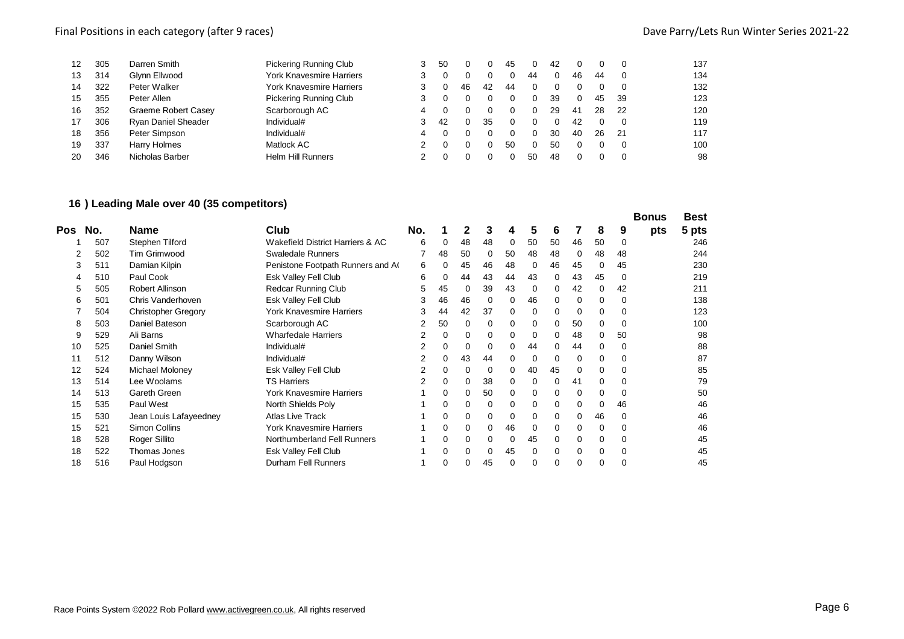| 12 | 305 | Darren Smith               | Pickering Running Club          |   | 50 |    |    | 45 |    | 42 |    |    |     | 137 |
|----|-----|----------------------------|---------------------------------|---|----|----|----|----|----|----|----|----|-----|-----|
| 13 | 314 | Glynn Ellwood              | <b>York Knavesmire Harriers</b> |   |    |    |    |    | 44 |    | 46 | 44 |     | 134 |
| 14 | 322 | Peter Walker               | York Knavesmire Harriers        |   |    | 46 | 42 | 44 |    |    |    |    |     | 132 |
| 15 | 355 | Peter Allen                | <b>Pickering Running Club</b>   |   |    |    |    |    |    | 39 |    | 45 | 39  | 123 |
| 16 | 352 | Graeme Robert Casey        | Scarborough AC                  |   |    |    |    |    |    | 29 | 41 | 28 | -22 | 120 |
| 17 | 306 | <b>Ryan Daniel Sheader</b> | Individual#                     |   | 42 |    | 35 | 0  |    |    | 42 |    |     | 119 |
| 18 | 356 | Peter Simpson              | Individual#                     | 4 |    |    |    |    |    | 30 | 40 | 26 | -21 | 117 |
| 19 | 337 | Harry Holmes               | Matlock AC                      |   |    |    |    | 50 |    | 50 |    |    |     | 100 |
| 20 | 346 | Nicholas Barber            | <b>Helm Hill Runners</b>        |   |    |    |    |    | 50 | 48 |    |    | - 0 | 98  |
|    |     |                            |                                 |   |    |    |    |    |    |    |    |    |     |     |

## **) Leading Male over 40 (35 competitors)**

|     |     |                            |                                  |     |    |    |    |    |    |          |    |    |    | <b>Bonus</b> | <b>Best</b> |
|-----|-----|----------------------------|----------------------------------|-----|----|----|----|----|----|----------|----|----|----|--------------|-------------|
| Pos | No. | <b>Name</b>                | Club                             | No. |    | 2  | 3  | 4  | 5  | 6        |    | 8  | 9  | pts          | 5 pts       |
|     | 507 | Stephen Tilford            | Wakefield District Harriers & AC | 6   | 0  | 48 | 48 | 0  | 50 | 50       | 46 | 50 | 0  |              | 246         |
|     | 502 | Tim Grimwood               | Swaledale Runners                |     | 48 | 50 | 0  | 50 | 48 | 48       | 0  | 48 | 48 |              | 244         |
| 3   | 511 | Damian Kilpin              | Penistone Footpath Runners and A | 6   | 0  | 45 | 46 | 48 | 0  | 46       | 45 | 0  | 45 |              | 230         |
|     | 510 | Paul Cook                  | Esk Valley Fell Club             | 6   | 0  | 44 | 43 | 44 | 43 | 0        | 43 | 45 | 0  |              | 219         |
| 5   | 505 | Robert Allinson            | <b>Redcar Running Club</b>       | 5   | 45 | 0  | 39 | 43 | 0  | $\Omega$ | 42 | 0  | 42 |              | 211         |
| 6   | 501 | Chris Vanderhoven          | Esk Valley Fell Club             | 3   | 46 | 46 | 0  | 0  | 46 |          |    | 0  | 0  |              | 138         |
|     | 504 | <b>Christopher Gregory</b> | York Knavesmire Harriers         | 3   | 44 | 42 | 37 | 0  | 0  | 0        |    | 0  | 0  |              | 123         |
| 8   | 503 | Daniel Bateson             | Scarborough AC                   | 2   | 50 | 0  | 0  | 0  | 0  | 0        | 50 | 0  | 0  |              | 100         |
| 9   | 529 | Ali Barns                  | <b>Wharfedale Harriers</b>       | 2   | 0  | 0  | 0  | 0  | 0  | 0        | 48 | 0  | 50 |              | 98          |
| 10  | 525 | Daniel Smith               | Individual#                      | 2   | 0  | 0  | 0  | 0  | 44 | 0        | 44 | 0  | 0  |              | 88          |
| 11  | 512 | Danny Wilson               | Individual#                      | 2   | 0  | 43 | 44 | 0  | 0  | 0        | 0  | 0  | 0  |              | 87          |
| 12  | 524 | Michael Moloney            | Esk Valley Fell Club             | 2   | 0  | 0  | 0  | 0  | 40 | 45       |    | 0  | 0  |              | 85          |
| 13  | 514 | Lee Woolams                | <b>TS Harriers</b>               | 2   | 0  | 0  | 38 | 0  | 0  | 0        | 41 | 0  | 0  |              | 79          |
| 14  | 513 | Gareth Green               | York Knavesmire Harriers         |     | 0  | 0  | 50 | 0  | 0  | 0        | 0  | 0  | 0  |              | 50          |
| 15  | 535 | Paul West                  | North Shields Poly               |     | 0  | 0  | 0  | 0  | 0  | 0        |    | 0  | 46 |              | 46          |
| 15  | 530 | Jean Louis Lafayeedney     | <b>Atlas Live Track</b>          |     | 0  | 0  | 0  | 0  | 0  | 0        |    | 46 | 0  |              | 46          |
| 15  | 521 | <b>Simon Collins</b>       | York Knavesmire Harriers         |     | 0  | 0  | 0  | 46 | 0  | 0        |    | 0  | 0  |              | 46          |
| 18  | 528 | Roger Sillito              | Northumberland Fell Runners      |     | 0  | 0  | 0  | 0  | 45 | 0        |    | 0  | 0  |              | 45          |
| 18  | 522 | Thomas Jones               | Esk Valley Fell Club             |     | 0  | 0  | 0  | 45 | 0  | $\Omega$ | 0  | 0  | 0  |              | 45          |
| 18  | 516 | Paul Hodgson               | Durham Fell Runners              |     | 0  |    | 45 | 0  | 0  |          |    | 0  |    |              | 45          |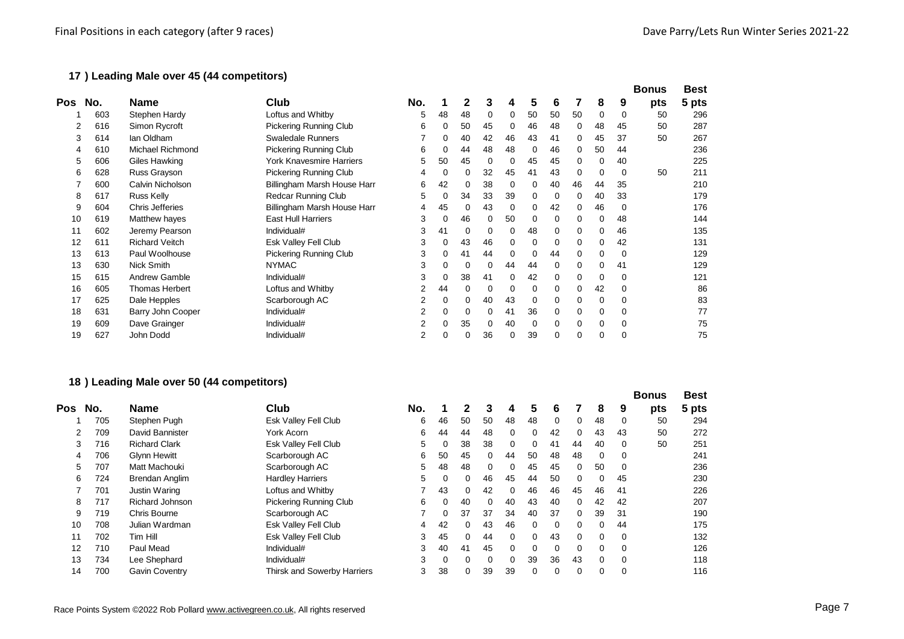## **) Leading Male over 45 (44 competitors)**

|     |     |                       |                             |                |          |          |          |    |    |    |          |    |          | <b>Bonus</b> | <b>Best</b> |
|-----|-----|-----------------------|-----------------------------|----------------|----------|----------|----------|----|----|----|----------|----|----------|--------------|-------------|
| Pos | No. | <b>Name</b>           | Club                        | No.            |          |          |          |    | 5  | 6  |          | 8  | 9        | pts          | 5 pts       |
|     | 603 | Stephen Hardy         | Loftus and Whitby           | 5              | 48       | 48       | $\Omega$ | 0  | 50 | 50 | 50       | 0  | 0        | 50           | 296         |
|     | 616 | Simon Rycroft         | Pickering Running Club      | 6              | 0        | 50       | 45       | 0  | 46 | 48 | 0        | 48 | 45       | 50           | 287         |
| 3   | 614 | lan Oldham            | <b>Swaledale Runners</b>    |                | 0        | 40       | 42       | 46 | 43 | 41 | 0        | 45 | 37       | 50           | 267         |
|     | 610 | Michael Richmond      | Pickering Running Club      | 6              | 0        | 44       | 48       | 48 | 0  | 46 | 0        | 50 | 44       |              | 236         |
| 5   | 606 | Giles Hawking         | York Knavesmire Harriers    | 5              | 50       | 45       | 0        | 0  | 45 | 45 | 0        | 0  | 40       |              | 225         |
| 6   | 628 | Russ Grayson          | Pickering Running Club      | 4              | $\Omega$ | $\Omega$ | 32       | 45 | 41 | 43 | 0        | 0  | $\Omega$ | 50           | 211         |
|     | 600 | Calvin Nicholson      | Billingham Marsh House Harr | 6              | 42       |          | 38       | 0  | 0  | 40 | 46       | 44 | 35       |              | 210         |
| 8   | 617 | Russ Kelly            | Redcar Running Club         | 5              | 0        | 34       | 33       | 39 | 0  | 0  | $\Omega$ | 40 | 33       |              | 179         |
| 9   | 604 | Chris Jefferies       | Billingham Marsh House Harr | 4              | 45       | $\Omega$ | 43       | 0  | 0  | 42 | 0        | 46 | 0        |              | 176         |
| 10  | 619 | Matthew hayes         | <b>East Hull Harriers</b>   | 3              | 0        | 46       | 0        | 50 | 0  | 0  | 0        | 0  | 48       |              | 144         |
| 11  | 602 | Jeremy Pearson        | Individual#                 | 3              | 41       | $\Omega$ | $\Omega$ |    | 48 | 0  | 0        | 0  | 46       |              | 135         |
| 12  | 611 | <b>Richard Veitch</b> | Esk Valley Fell Club        | 3              | 0        | 43       | 46       | 0  | 0  | 0  | $\Omega$ | 0  | 42       |              | 131         |
| 13  | 613 | Paul Woolhouse        | Pickering Running Club      | 3              | 0        | 41       | 44       | 0  | 0  | 44 | 0        | 0  | 0        |              | 129         |
| 13  | 630 | Nick Smith            | <b>NYMAC</b>                | 3              | $\Omega$ |          | 0        | 44 | 44 | 0  | 0        | 0  | 41       |              | 129         |
| 15  | 615 | Andrew Gamble         | Individual#                 | 3              | 0        | 38       | 41       |    | 42 | 0  | 0        | 0  | 0        |              | 121         |
| 16  | 605 | <b>Thomas Herbert</b> | Loftus and Whitby           |                | 44       |          | C        |    | 0  | 0  | 0        | 42 | 0        |              | 86          |
| 17  | 625 | Dale Hepples          | Scarborough AC              | $\overline{2}$ | 0        | 0        | 40       | 43 | 0  | 0  | 0        | 0  | 0        |              | 83          |
| 18  | 631 | Barry John Cooper     | Individual#                 |                | 0        |          | $\Omega$ | 41 | 36 | 0  | 0        | 0  | 0        |              | 77          |
| 19  | 609 | Dave Grainger         | Individual#                 |                | 0        | 35       | 0        | 40 | 0  | 0  | 0        | 0  | 0        |              | 75          |
| 19  | 627 | John Dodd             | Individual#                 |                | 0        |          | 36       |    | 39 | 0  | 0        | 0  |          |              | 75          |

## **) Leading Male over 50 (44 competitors)**

|                   |     |                      |                               |     |    |    |          |          |          |          |          |          |          | <b>Bonus</b> | <b>Best</b> |
|-------------------|-----|----------------------|-------------------------------|-----|----|----|----------|----------|----------|----------|----------|----------|----------|--------------|-------------|
| Pos               | No. | <b>Name</b>          | Club                          | No. |    | 2  | 3        | 4        | 5        | 6        |          | 8        | 9        | pts          | 5 pts       |
|                   | 705 | Stephen Pugh         | Esk Valley Fell Club          | 6   | 46 | 50 | 50       | 48       | 48       | $\Omega$ | $\Omega$ | 48       | 0        | 50           | 294         |
| 2                 | 709 | David Bannister      | York Acorn                    | 6   | 44 | 44 | 48       | 0        | $\Omega$ | 42       | 0        | 43       | 43       | 50           | 272         |
| 3                 | 716 | <b>Richard Clark</b> | Esk Valley Fell Club          | 5   | 0  | 38 | 38       | 0        | 0        | 41       | 44       | 40       | 0        | 50           | 251         |
| 4                 | 706 | Glynn Hewitt         | Scarborough AC                | 6   | 50 | 45 | $\Omega$ | 44       | 50       | 48       | 48       | 0        | 0        |              | 241         |
| 5                 | 707 | Matt Machouki        | Scarborough AC                | 5   | 48 | 48 | $\Omega$ | 0        | 45       | 45       | $\Omega$ | 50       | 0        |              | 236         |
| 6                 | 724 | Brendan Anglim       | <b>Hardley Harriers</b>       | 5   | 0  | 0  | 46       | 45       | 44       | 50       | $\Omega$ | 0        | 45       |              | 230         |
|                   | 701 | Justin Waring        | Loftus and Whitby             |     | 43 | 0  | 42       | $\Omega$ | 46       | 46       | 45       | 46       | 41       |              | 226         |
| 8                 | 717 | Richard Johnson      | <b>Pickering Running Club</b> | 6   | 0  | 40 | 0        | 40       | 43       | 40       | 0        | 42       | 42       |              | 207         |
| 9                 | 719 | Chris Bourne         | Scarborough AC                |     | 0  | 37 | 37       | 34       | 40       | 37       | $\Omega$ | 39       | 31       |              | 190         |
| 10                | 708 | Julian Wardman       | Esk Valley Fell Club          | 4   | 42 | 0  | 43       | 46       | $\Omega$ | $\Omega$ | $\Omega$ | 0        | 44       |              | 175         |
| 11                | 702 | Tim Hill             | Esk Valley Fell Club          | 3   | 45 | 0  | 44       | $\Omega$ | $\Omega$ | 43       | $\Omega$ | 0        | 0        |              | 132         |
| $12 \overline{ }$ | 710 | Paul Mead            | Individual#                   | 3   | 40 | 41 | 45       | $\Omega$ | $\Omega$ | $\Omega$ | $\Omega$ | 0        | 0        |              | 126         |
| 13                | 734 | Lee Shephard         | Individual#                   | 3   | 0  | 0  | $\Omega$ | 0        | 39       | 36       | 43       | $\Omega$ | 0        |              | 118         |
| 14                | 700 | Gavin Coventry       | Thirsk and Sowerby Harriers   | 3   | 38 | 0  | 39       | 39       | 0        | 0        |          | 0        | $\Omega$ |              | 116         |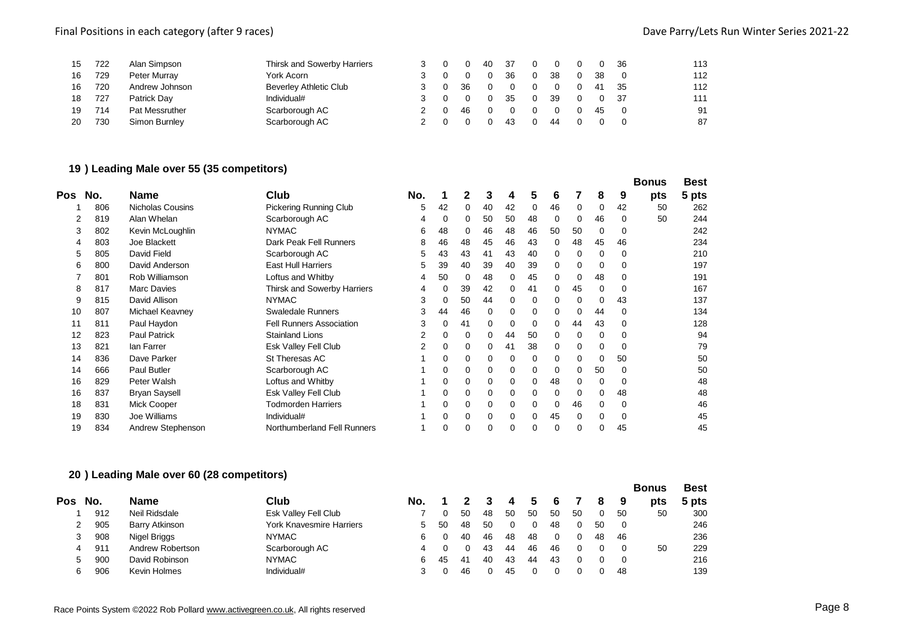## Final Positions in each category (after 9 races) and the case of the Category (after 9 races) Dave Parry/Lets Run Winter Series 2021-22

| 15 | 722 | Alan Simpson   | Thirsk and Sowerby Harriers   |  |    | 40 | -37 |          |    |    | 36  | 113 |
|----|-----|----------------|-------------------------------|--|----|----|-----|----------|----|----|-----|-----|
| 16 | 729 | Peter Murray   | York Acorn                    |  |    |    | 36  |          | 38 | 38 |     | 112 |
| 16 | 720 | Andrew Johnson | <b>Beverley Athletic Club</b> |  | 36 |    |     |          |    | 41 | 35  | 112 |
| 18 | 727 | Patrick Dav    | Individual#                   |  |    |    | 35  | $\Omega$ | 39 |    | -37 | 111 |
| 19 | 714 | Pat Messruther | Scarborough AC                |  | 46 |    |     |          |    | 45 |     | 91  |
| 20 | 730 | Simon Burnley  | Scarborough AC                |  |    |    | 43  |          | 44 |    |     | 87  |

# **) Leading Male over 55 (35 competitors)**

|     |     |                      |                                 |                |          |    |    |          |          |    |          |          |          | <b>Bonus</b> | <b>Best</b> |
|-----|-----|----------------------|---------------------------------|----------------|----------|----|----|----------|----------|----|----------|----------|----------|--------------|-------------|
| Pos | No. | <b>Name</b>          | Club                            | No.            |          |    | 3  | 4        | 5        | 6  |          | 8        | 9        | pts          | 5 pts       |
|     | 806 | Nicholas Cousins     | <b>Pickering Running Club</b>   | 5              | 42       | 0  | 40 | 42       | 0        | 46 | 0        | 0        | 42       | 50           | 262         |
|     | 819 | Alan Whelan          | Scarborough AC                  |                | 0        | 0  | 50 | 50       | 48       | 0  | 0        | 46       |          | 50           | 244         |
| 3   | 802 | Kevin McLoughlin     | <b>NYMAC</b>                    | 6              | 48       | 0  | 46 | 48       | 46       | 50 | 50       | $\Omega$ | 0        |              | 242         |
| 4   | 803 | Joe Blackett         | Dark Peak Fell Runners          | 8              | 46       | 48 | 45 | 46       | 43       | 0  | 48       | 45       | 46       |              | 234         |
| 5   | 805 | David Field          | Scarborough AC                  | 5              | 43       | 43 | 41 | 43       | 40       | 0  | 0        | 0        | 0        |              | 210         |
| 6   | 800 | David Anderson       | <b>East Hull Harriers</b>       | 5              | 39       | 40 | 39 | 40       | 39       | 0  | 0        | 0        | 0        |              | 197         |
|     | 801 | Rob Williamson       | Loftus and Whitby               |                | 50       | 0  | 48 | 0        | 45       | 0  |          | 48       |          |              | 191         |
| 8   | 817 | <b>Marc Davies</b>   | Thirsk and Sowerby Harriers     |                |          | 39 | 42 | 0        | 41       | 0  | 45       | 0        |          |              | 167         |
| 9   | 815 | David Allison        | <b>NYMAC</b>                    | 3              | 0        | 50 | 44 | 0        | 0        | 0  | 0        | 0        | 43       |              | 137         |
| 10  | 807 | Michael Keavney      | <b>Swaledale Runners</b>        | 3              | 44       | 46 | 0  | 0        | 0        | 0  |          | 44       | 0        |              | 134         |
| 11  | 811 | Paul Haydon          | <b>Fell Runners Association</b> | 3              | 0        | 41 | 0  | 0        | 0        | 0  | 44       | 43       | $\Omega$ |              | 128         |
| 12  | 823 | <b>Paul Patrick</b>  | <b>Stainland Lions</b>          |                |          | 0  | 0  | 44       | 50       | 0  | 0        | 0        |          |              | 94          |
| 13  | 821 | lan Farrer           | Esk Valley Fell Club            | $\overline{2}$ | 0        | 0  | 0  | 41       | 38       | 0  | 0        | 0        | 0        |              | 79          |
| 14  | 836 | Dave Parker          | St Theresas AC                  |                | 0        | 0  | 0  | 0        | 0        | 0  | 0        | 0        | 50       |              | 50          |
| 14  | 666 | <b>Paul Butler</b>   | Scarborough AC                  |                | 0        | 0  | 0  | 0        | 0        | 0  | 0        | 50       | 0        |              | 50          |
| 16  | 829 | Peter Walsh          | Loftus and Whitby               |                | 0        | 0  | 0  | 0        | 0        | 48 | 0        | 0        |          |              | 48          |
| 16  | 837 | <b>Bryan Saysell</b> | Esk Valley Fell Club            |                | 0        | 0  | 0  | 0        | 0        | 0  | 0        | 0        | 48       |              | 48          |
| 18  | 831 | Mick Cooper          | <b>Todmorden Harriers</b>       |                | 0        | 0  | 0  | 0        | 0        | 0  | 46       | 0        | 0        |              | 46          |
| 19  | 830 | Joe Williams         | Individual#                     |                | $\Omega$ | 0  | 0  | $\Omega$ | $\Omega$ | 45 | $\Omega$ | 0        |          |              | 45          |
| 19  | 834 | Andrew Stephenson    | Northumberland Fell Runners     |                | 0        | 0  | 0  | 0        | 0        | 0  | 0        |          | 45       |              | 45          |

## **) Leading Male over 60 (28 competitors)**

|     |     |     |                  |                                 |     |    |    |    |     |    |    |    |    |                | <b>Bonus</b> | <b>Best</b> |
|-----|-----|-----|------------------|---------------------------------|-----|----|----|----|-----|----|----|----|----|----------------|--------------|-------------|
| Pos | No. |     | <b>Name</b>      | Club                            | No. |    |    |    | 4   |    |    |    | 8  | 9              | pts          | 5 pts       |
|     |     | 912 | Neil Ridsdale    | Esk Valley Fell Club            |     |    | 50 | 48 | -50 | 50 | 50 | 50 |    | 50             | 50           | 300         |
| 2   |     | 905 | Barry Atkinson   | <b>York Knavesmire Harriers</b> |     | 50 | 48 | 50 |     |    | 48 | 0  | 50 | $\Omega$       |              | 246         |
| 3   |     | 908 | Nigel Briggs     | <b>NYMAC</b>                    | 6.  |    | 40 | 46 | 48  | 48 |    |    | 48 | 46             |              | 236         |
| 4   |     | 911 | Andrew Robertson | Scarborough AC                  |     |    |    | 43 | 44  | 46 | 46 | 0  |    | $\Omega$       | 50           | 229         |
| 5   |     | 900 | David Robinson   | <b>NYMAC</b>                    | 6.  | 45 | 41 | 40 | 43  | 44 | 43 |    |    | $\overline{0}$ |              | 216         |
| 6   |     | 906 | Kevin Holmes     | Individual#                     |     |    | 46 |    | 45  |    |    |    |    | 48             |              | 139         |
|     |     |     |                  |                                 |     |    |    |    |     |    |    |    |    |                |              |             |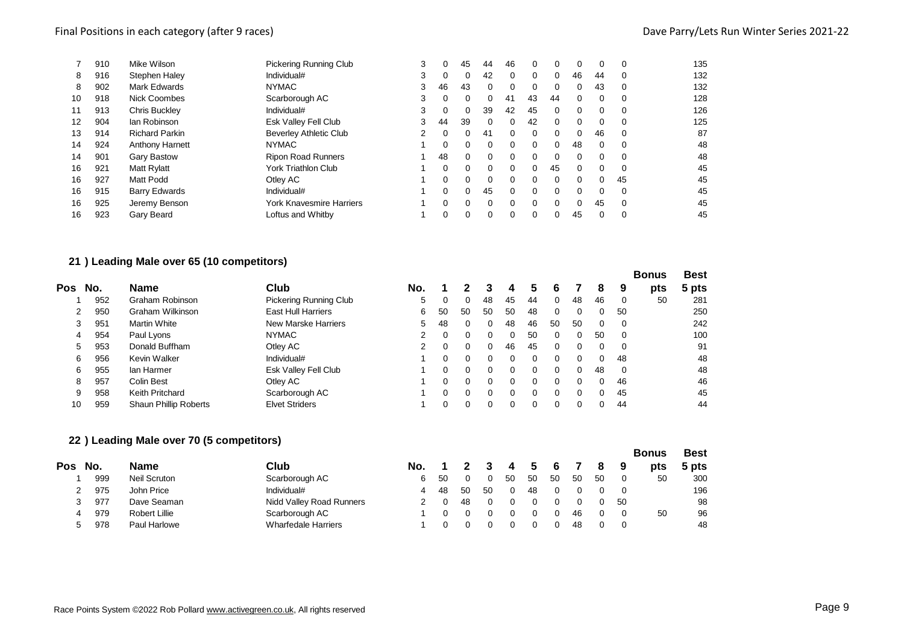## Final Positions in each category (after 9 races) and the case of the Category (after 9 races) Dave Parry/Lets Run Winter Series 2021-22

|    | 910 | Mike Wilson            | <b>Pickering Running Club</b> | 3 |    | 45       | 44       | 46 | $\Omega$ | $\Omega$ | $\Omega$ | 0        | 0        | 135 |
|----|-----|------------------------|-------------------------------|---|----|----------|----------|----|----------|----------|----------|----------|----------|-----|
| 8  | 916 | Stephen Haley          | Individual#                   | 3 | 0  | 0        | 42       | 0  | 0        | $\Omega$ | 46       | 44       | 0        | 132 |
| 8  | 902 | <b>Mark Edwards</b>    | <b>NYMAC</b>                  | 3 | 46 | 43       | $\Omega$ | 0  | 0        | 0        | $\Omega$ | 43       | 0        | 132 |
| 10 | 918 | <b>Nick Coombes</b>    | Scarborough AC                | 3 | 0  | 0        | 0        | 41 | 43       | 44       | $\Omega$ | $\Omega$ | 0        | 128 |
| 11 | 913 | <b>Chris Buckley</b>   | Individual#                   | 3 | 0  | 0        | 39       | 42 | 45       | $\Omega$ | $\Omega$ | 0        | 0        | 126 |
| 12 | 904 | lan Robinson           | <b>Esk Valley Fell Club</b>   | 3 | 44 | 39       | $\Omega$ | 0  | 42       | $\Omega$ | $\Omega$ | 0        | 0        | 125 |
| 13 | 914 | <b>Richard Parkin</b>  | <b>Beverley Athletic Club</b> | 2 | 0  | $\Omega$ | 41       | 0  | $\Omega$ | $\Omega$ | $\Omega$ | 46       | 0        | 87  |
| 14 | 924 | <b>Anthony Harnett</b> | <b>NYMAC</b>                  |   | 0  | 0        | $\Omega$ | 0  | $\Omega$ | $\Omega$ | 48       | $\Omega$ | $\Omega$ | 48  |
| 14 | 901 | <b>Gary Bastow</b>     | <b>Ripon Road Runners</b>     |   | 48 | $\Omega$ | $\Omega$ | 0  | $\Omega$ | $\Omega$ | $\Omega$ | $\Omega$ | 0        | 48  |
| 16 | 921 | <b>Matt Rylatt</b>     | <b>York Triathlon Club</b>    |   | 0  | $\Omega$ | $\Omega$ | 0  | $\Omega$ | 45       | $\Omega$ | $\Omega$ | $\Omega$ | 45  |
| 16 | 927 | Matt Podd              | Otley AC                      |   | 0  | 0        | $\Omega$ | 0  | $\Omega$ | $\Omega$ | $\Omega$ | 0        | 45       | 45  |
| 16 | 915 | <b>Barry Edwards</b>   | Individual#                   |   | 0  | 0        | 45       | 0  | $\Omega$ | $\Omega$ | $\Omega$ | 0        | 0        | 45  |
| 16 | 925 | Jeremy Benson          | York Knavesmire Harriers      |   | 0  | 0        | $\Omega$ | 0  | $\Omega$ | $\Omega$ | $\Omega$ | 45       | 0        | 45  |
| 16 | 923 | Gary Beard             | Loftus and Whitby             |   |    | 0        |          | 0  | 0        | 0        | 45       | 0        | 0        | 45  |
|    |     |                        |                               |   |    |          |          |    |          |          |          |          |          |     |

## **) Leading Male over 65 (10 competitors)**

|     |     |                              |                               |     |    |          |    |              |          |          |          |              |    | <b>Bonus</b> | <b>Best</b> |
|-----|-----|------------------------------|-------------------------------|-----|----|----------|----|--------------|----------|----------|----------|--------------|----|--------------|-------------|
| Pos | No. | <b>Name</b>                  | Club                          | No. |    |          |    | 4            | 5        | 6        |          | 8            | 9  | pts          | 5 pts       |
|     | 952 | Graham Robinson              | <b>Pickering Running Club</b> | 5.  |    |          | 48 | 45           | 44       | 0        | 48       | 46           |    | 50           | 281         |
|     | 950 | Graham Wilkinson             | East Hull Harriers            | 6   | 50 | 50       | 50 | 50           | 48       | 0        | $\Omega$ | 0            | 50 |              | 250         |
| 3   | 951 | <b>Martin White</b>          | New Marske Harriers           | 5.  | 48 | $\Omega$ | 0  | 48           | 46       | 50       | 50       |              |    |              | 242         |
| 4   | 954 | Paul Lyons                   | <b>NYMAC</b>                  |     |    | 0        | 0  | 0            | 50       | $\Omega$ | $\Omega$ | 50           |    |              | 100         |
| 5   | 953 | Donald Buffham               | Otley AC                      |     |    | 0        | 0  | 46           | 45       | 0        | $\Omega$ |              |    |              | 91          |
| 6   | 956 | Kevin Walker                 | Individual#                   |     |    | $\Omega$ | 0  |              | 0        | $\Omega$ |          |              | 48 |              | 48          |
| 6   | 955 | lan Harmer                   | Esk Valley Fell Club          |     |    | $\Omega$ | 0  |              | 0        | $\Omega$ | $\Omega$ | 48           |    |              | 48          |
| 8   | 957 | Colin Best                   | Otley AC                      |     |    | $\Omega$ | 0  | <sup>0</sup> | 0        | $\Omega$ | $\Omega$ | <sup>n</sup> | 46 |              | 46          |
| 9   | 958 | Keith Pritchard              | Scarborough AC                |     |    | $\Omega$ | 0  |              | $\Omega$ | $\Omega$ | $\Omega$ |              | 45 |              | 45          |
| 10  | 959 | <b>Shaun Phillip Roberts</b> | <b>Elvet Striders</b>         |     |    | 0        |    |              | 0        | $\Omega$ |          |              | 44 |              | 44          |

## **) Leading Male over 70 (5 competitors)**

|          |               |                            |     |    |    |              |                |     |    |    |    |    | <b>Bonus</b> | <b>Best</b> |
|----------|---------------|----------------------------|-----|----|----|--------------|----------------|-----|----|----|----|----|--------------|-------------|
| No.      | <b>Name</b>   | Club                       | No. |    |    | $\mathbf{3}$ | $\overline{4}$ | - 5 | -6 |    | 8  | 9  | pts          | 5 pts       |
| 999      | Neil Scruton  | Scarborough AC             | 6.  | 50 |    |              | -50            | 50  | 50 | 50 | 50 |    | 50           | 300         |
| 975      | John Price    | Individual#                |     | 48 | 50 | 50           |                | 48  |    |    |    |    |              | 196         |
| 977<br>3 | Dave Seaman   | Nidd Valley Road Runners   |     |    | 48 |              |                |     |    |    |    | 50 |              | 98          |
| 979<br>4 | Robert Lillie | Scarborough AC             |     |    |    |              |                |     |    | 46 |    |    | 50           | 96          |
| 978      | Paul Harlowe  | <b>Wharfedale Harriers</b> |     |    |    |              |                |     |    | 48 |    |    |              | 48          |
|          |               |                            |     |    |    |              |                |     |    |    |    |    |              |             |